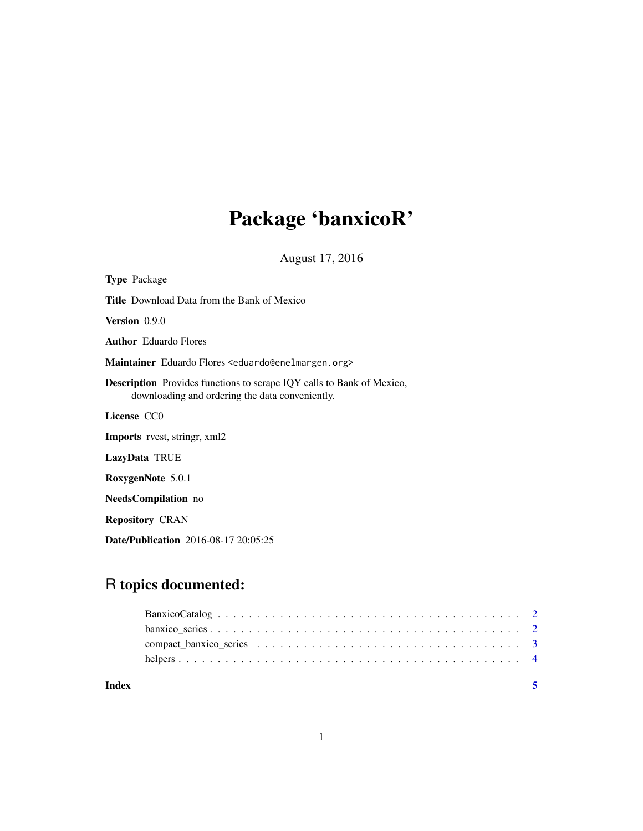# Package 'banxicoR'

August 17, 2016

| <b>Type Package</b>                                                                                                             |
|---------------------------------------------------------------------------------------------------------------------------------|
| <b>Title</b> Download Data from the Bank of Mexico                                                                              |
| <b>Version</b> 0.9.0                                                                                                            |
| <b>Author</b> Eduardo Flores                                                                                                    |
| Maintainer Eduardo Flores <eduardo@enelmargen.org></eduardo@enelmargen.org>                                                     |
| <b>Description</b> Provides functions to scrape IQY calls to Bank of Mexico,<br>downloading and ordering the data conveniently. |
| License CCO                                                                                                                     |
| <b>Imports</b> rvest, stringr, xml2                                                                                             |
| LazyData TRUE                                                                                                                   |
| RoxygenNote 5.0.1                                                                                                               |
| <b>NeedsCompilation</b> no                                                                                                      |
| <b>Repository CRAN</b>                                                                                                          |
| <b>Date/Publication</b> 2016-08-17 20:05:25                                                                                     |

# R topics documented:

| Index |  |
|-------|--|
|       |  |
|       |  |
|       |  |
|       |  |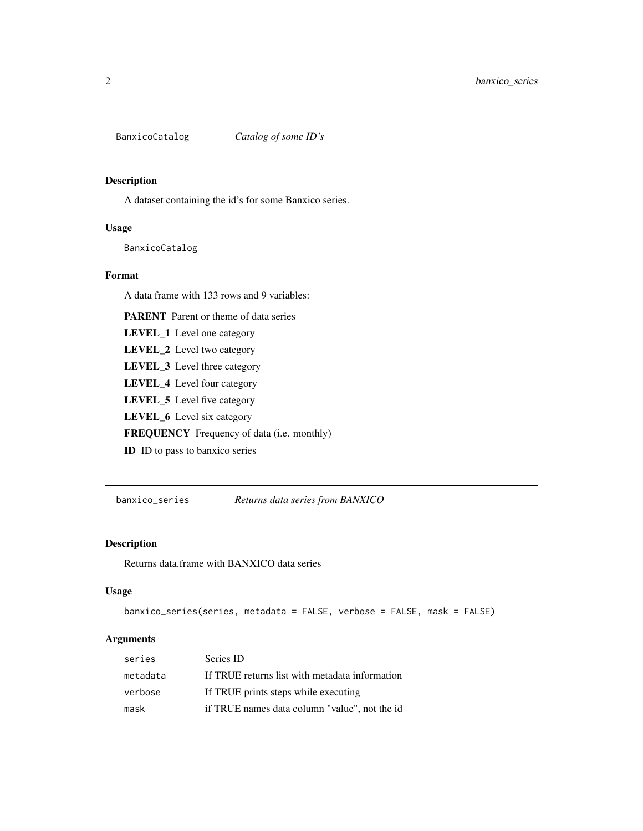<span id="page-1-0"></span>

# Description

A dataset containing the id's for some Banxico series.

#### Usage

BanxicoCatalog

#### Format

A data frame with 133 rows and 9 variables:

PARENT Parent or theme of data series

LEVEL\_1 Level one category

LEVEL\_2 Level two category

LEVEL\_3 Level three category

LEVEL\_4 Level four category

LEVEL\_5 Level five category

LEVEL\_6 Level six category

FREQUENCY Frequency of data (i.e. monthly)

ID ID to pass to banxico series

banxico\_series *Returns data series from BANXICO*

#### Description

Returns data.frame with BANXICO data series

#### Usage

```
banxico_series(series, metadata = FALSE, verbose = FALSE, mask = FALSE)
```
# Arguments

| series   | Series ID                                      |
|----------|------------------------------------------------|
| metadata | If TRUE returns list with metadata information |
| verbose  | If TRUE prints steps while executing           |
| mask     | if TRUE names data column "value", not the id  |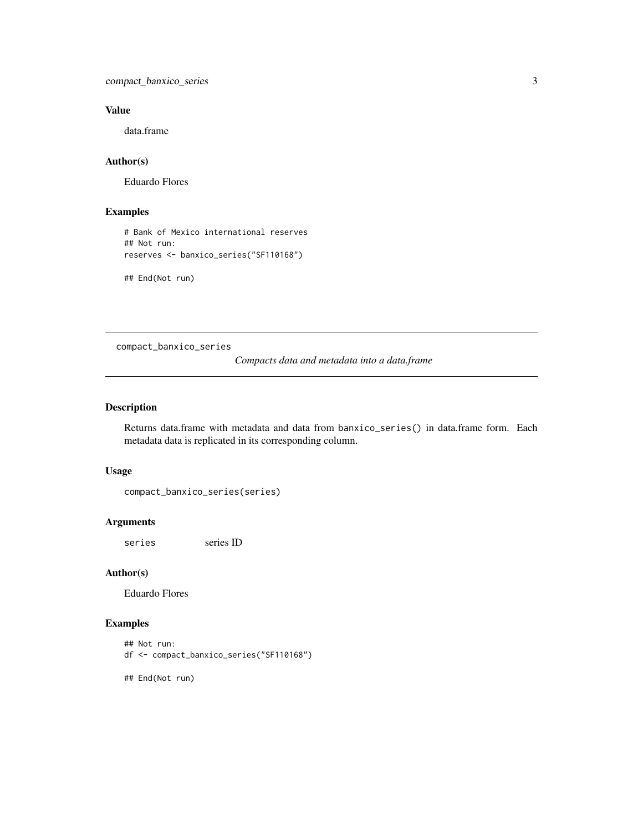<span id="page-2-0"></span>compact\_banxico\_series 3

# Value

data.frame

# Author(s)

Eduardo Flores

# Examples

```
# Bank of Mexico international reserves
## Not run:
reserves <- banxico_series("SF110168")
```
## End(Not run)

compact\_banxico\_series

*Compacts data and metadata into a data.frame*

# Description

Returns data.frame with metadata and data from banxico\_series() in data.frame form. Each metadata data is replicated in its corresponding column.

#### Usage

```
compact_banxico_series(series)
```
#### Arguments

series series ID

#### Author(s)

Eduardo Flores

### Examples

```
## Not run:
df <- compact_banxico_series("SF110168")
```
## End(Not run)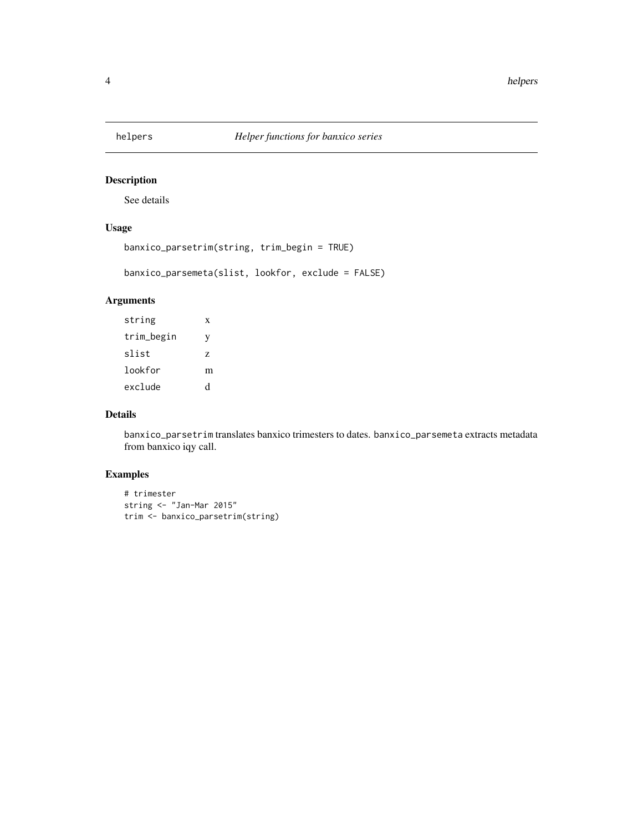<span id="page-3-0"></span>

# Description

See details

# Usage

```
banxico_parsetrim(string, trim_begin = TRUE)
```
banxico\_parsemeta(slist, lookfor, exclude = FALSE)

# Arguments

| string     | X |
|------------|---|
| trim_begin | V |
| slist      | Z |
| lookfor    | m |
| exclude    | d |

#### Details

banxico\_parsetrim translates banxico trimesters to dates. banxico\_parsemeta extracts metadata from banxico iqy call.

# Examples

```
# trimester
string <- "Jan-Mar 2015"
trim <- banxico_parsetrim(string)
```